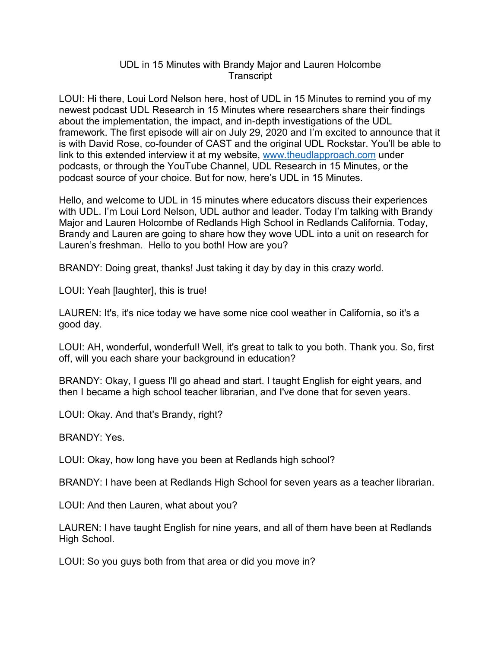## UDL in 15 Minutes with Brandy Major and Lauren Holcombe **Transcript**

LOUI: Hi there, Loui Lord Nelson here, host of UDL in 15 Minutes to remind you of my newest podcast UDL Research in 15 Minutes where researchers share their findings about the implementation, the impact, and in-depth investigations of the UDL framework. The first episode will air on July 29, 2020 and I'm excited to announce that it is with David Rose, co-founder of CAST and the original UDL Rockstar. You'll be able to link to this extended interview it at my website, [www.theudlapproach.com](http://www.theudlapproach.com/) under podcasts, or through the YouTube Channel, UDL Research in 15 Minutes, or the podcast source of your choice. But for now, here's UDL in 15 Minutes.

Hello, and welcome to UDL in 15 minutes where educators discuss their experiences with UDL. I'm Loui Lord Nelson, UDL author and leader. Today I'm talking with Brandy Major and Lauren Holcombe of Redlands High School in Redlands California. Today, Brandy and Lauren are going to share how they wove UDL into a unit on research for Lauren's freshman. Hello to you both! How are you?

BRANDY: Doing great, thanks! Just taking it day by day in this crazy world.

LOUI: Yeah [laughter], this is true!

LAUREN: It's, it's nice today we have some nice cool weather in California, so it's a good day.

LOUI: AH, wonderful, wonderful! Well, it's great to talk to you both. Thank you. So, first off, will you each share your background in education?

BRANDY: Okay, I guess I'll go ahead and start. I taught English for eight years, and then I became a high school teacher librarian, and I've done that for seven years.

LOUI: Okay. And that's Brandy, right?

BRANDY: Yes.

LOUI: Okay, how long have you been at Redlands high school?

BRANDY: I have been at Redlands High School for seven years as a teacher librarian.

LOUI: And then Lauren, what about you?

LAUREN: I have taught English for nine years, and all of them have been at Redlands High School.

LOUI: So you guys both from that area or did you move in?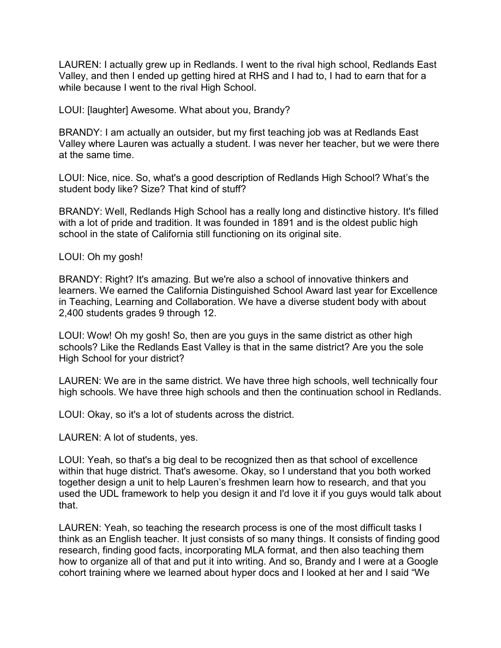LAUREN: I actually grew up in Redlands. I went to the rival high school, Redlands East Valley, and then I ended up getting hired at RHS and I had to, I had to earn that for a while because I went to the rival High School.

LOUI: [laughter] Awesome. What about you, Brandy?

BRANDY: I am actually an outsider, but my first teaching job was at Redlands East Valley where Lauren was actually a student. I was never her teacher, but we were there at the same time.

LOUI: Nice, nice. So, what's a good description of Redlands High School? What's the student body like? Size? That kind of stuff?

BRANDY: Well, Redlands High School has a really long and distinctive history. It's filled with a lot of pride and tradition. It was founded in 1891 and is the oldest public high school in the state of California still functioning on its original site.

LOUI: Oh my gosh!

BRANDY: Right? It's amazing. But we're also a school of innovative thinkers and learners. We earned the California Distinguished School Award last year for Excellence in Teaching, Learning and Collaboration. We have a diverse student body with about 2,400 students grades 9 through 12.

LOUI: Wow! Oh my gosh! So, then are you guys in the same district as other high schools? Like the Redlands East Valley is that in the same district? Are you the sole High School for your district?

LAUREN: We are in the same district. We have three high schools, well technically four high schools. We have three high schools and then the continuation school in Redlands.

LOUI: Okay, so it's a lot of students across the district.

LAUREN: A lot of students, yes.

LOUI: Yeah, so that's a big deal to be recognized then as that school of excellence within that huge district. That's awesome. Okay, so I understand that you both worked together design a unit to help Lauren's freshmen learn how to research, and that you used the UDL framework to help you design it and I'd love it if you guys would talk about that.

LAUREN: Yeah, so teaching the research process is one of the most difficult tasks I think as an English teacher. It just consists of so many things. It consists of finding good research, finding good facts, incorporating MLA format, and then also teaching them how to organize all of that and put it into writing. And so, Brandy and I were at a Google cohort training where we learned about hyper docs and I looked at her and I said "We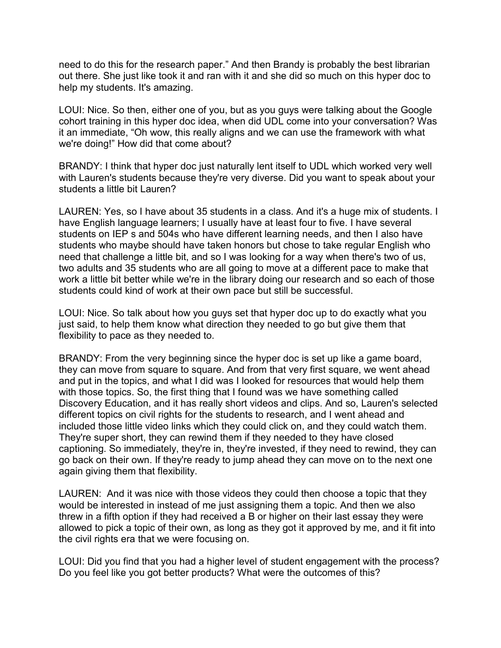need to do this for the research paper." And then Brandy is probably the best librarian out there. She just like took it and ran with it and she did so much on this hyper doc to help my students. It's amazing.

LOUI: Nice. So then, either one of you, but as you guys were talking about the Google cohort training in this hyper doc idea, when did UDL come into your conversation? Was it an immediate, "Oh wow, this really aligns and we can use the framework with what we're doing!" How did that come about?

BRANDY: I think that hyper doc just naturally lent itself to UDL which worked very well with Lauren's students because they're very diverse. Did you want to speak about your students a little bit Lauren?

LAUREN: Yes, so I have about 35 students in a class. And it's a huge mix of students. I have English language learners; I usually have at least four to five. I have several students on IEP s and 504s who have different learning needs, and then I also have students who maybe should have taken honors but chose to take regular English who need that challenge a little bit, and so I was looking for a way when there's two of us, two adults and 35 students who are all going to move at a different pace to make that work a little bit better while we're in the library doing our research and so each of those students could kind of work at their own pace but still be successful.

LOUI: Nice. So talk about how you guys set that hyper doc up to do exactly what you just said, to help them know what direction they needed to go but give them that flexibility to pace as they needed to.

BRANDY: From the very beginning since the hyper doc is set up like a game board, they can move from square to square. And from that very first square, we went ahead and put in the topics, and what I did was I looked for resources that would help them with those topics. So, the first thing that I found was we have something called Discovery Education, and it has really short videos and clips. And so, Lauren's selected different topics on civil rights for the students to research, and I went ahead and included those little video links which they could click on, and they could watch them. They're super short, they can rewind them if they needed to they have closed captioning. So immediately, they're in, they're invested, if they need to rewind, they can go back on their own. If they're ready to jump ahead they can move on to the next one again giving them that flexibility.

LAUREN: And it was nice with those videos they could then choose a topic that they would be interested in instead of me just assigning them a topic. And then we also threw in a fifth option if they had received a B or higher on their last essay they were allowed to pick a topic of their own, as long as they got it approved by me, and it fit into the civil rights era that we were focusing on.

LOUI: Did you find that you had a higher level of student engagement with the process? Do you feel like you got better products? What were the outcomes of this?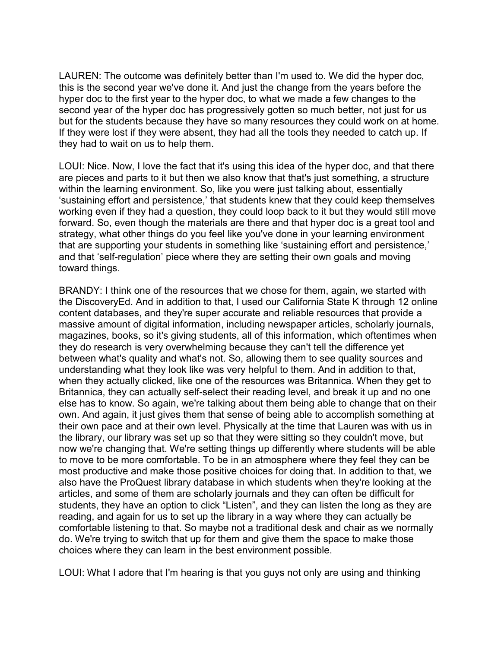LAUREN: The outcome was definitely better than I'm used to. We did the hyper doc, this is the second year we've done it. And just the change from the years before the hyper doc to the first year to the hyper doc, to what we made a few changes to the second year of the hyper doc has progressively gotten so much better, not just for us but for the students because they have so many resources they could work on at home. If they were lost if they were absent, they had all the tools they needed to catch up. If they had to wait on us to help them.

LOUI: Nice. Now, I love the fact that it's using this idea of the hyper doc, and that there are pieces and parts to it but then we also know that that's just something, a structure within the learning environment. So, like you were just talking about, essentially 'sustaining effort and persistence,' that students knew that they could keep themselves working even if they had a question, they could loop back to it but they would still move forward. So, even though the materials are there and that hyper doc is a great tool and strategy, what other things do you feel like you've done in your learning environment that are supporting your students in something like 'sustaining effort and persistence,' and that 'self-regulation' piece where they are setting their own goals and moving toward things.

BRANDY: I think one of the resources that we chose for them, again, we started with the DiscoveryEd. And in addition to that, I used our California State K through 12 online content databases, and they're super accurate and reliable resources that provide a massive amount of digital information, including newspaper articles, scholarly journals, magazines, books, so it's giving students, all of this information, which oftentimes when they do research is very overwhelming because they can't tell the difference yet between what's quality and what's not. So, allowing them to see quality sources and understanding what they look like was very helpful to them. And in addition to that, when they actually clicked, like one of the resources was Britannica. When they get to Britannica, they can actually self-select their reading level, and break it up and no one else has to know. So again, we're talking about them being able to change that on their own. And again, it just gives them that sense of being able to accomplish something at their own pace and at their own level. Physically at the time that Lauren was with us in the library, our library was set up so that they were sitting so they couldn't move, but now we're changing that. We're setting things up differently where students will be able to move to be more comfortable. To be in an atmosphere where they feel they can be most productive and make those positive choices for doing that. In addition to that, we also have the ProQuest library database in which students when they're looking at the articles, and some of them are scholarly journals and they can often be difficult for students, they have an option to click "Listen", and they can listen the long as they are reading, and again for us to set up the library in a way where they can actually be comfortable listening to that. So maybe not a traditional desk and chair as we normally do. We're trying to switch that up for them and give them the space to make those choices where they can learn in the best environment possible.

LOUI: What I adore that I'm hearing is that you guys not only are using and thinking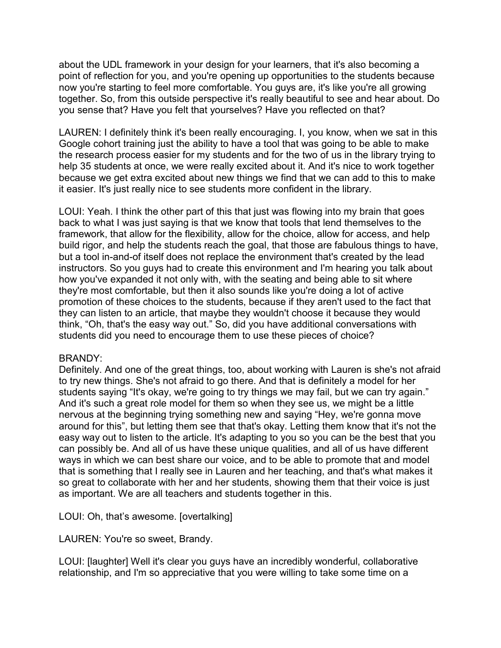about the UDL framework in your design for your learners, that it's also becoming a point of reflection for you, and you're opening up opportunities to the students because now you're starting to feel more comfortable. You guys are, it's like you're all growing together. So, from this outside perspective it's really beautiful to see and hear about. Do you sense that? Have you felt that yourselves? Have you reflected on that?

LAUREN: I definitely think it's been really encouraging. I, you know, when we sat in this Google cohort training just the ability to have a tool that was going to be able to make the research process easier for my students and for the two of us in the library trying to help 35 students at once, we were really excited about it. And it's nice to work together because we get extra excited about new things we find that we can add to this to make it easier. It's just really nice to see students more confident in the library.

LOUI: Yeah. I think the other part of this that just was flowing into my brain that goes back to what I was just saying is that we know that tools that lend themselves to the framework, that allow for the flexibility, allow for the choice, allow for access, and help build rigor, and help the students reach the goal, that those are fabulous things to have, but a tool in-and-of itself does not replace the environment that's created by the lead instructors. So you guys had to create this environment and I'm hearing you talk about how you've expanded it not only with, with the seating and being able to sit where they're most comfortable, but then it also sounds like you're doing a lot of active promotion of these choices to the students, because if they aren't used to the fact that they can listen to an article, that maybe they wouldn't choose it because they would think, "Oh, that's the easy way out." So, did you have additional conversations with students did you need to encourage them to use these pieces of choice?

## BRANDY:

Definitely. And one of the great things, too, about working with Lauren is she's not afraid to try new things. She's not afraid to go there. And that is definitely a model for her students saying "It's okay, we're going to try things we may fail, but we can try again." And it's such a great role model for them so when they see us, we might be a little nervous at the beginning trying something new and saying "Hey, we're gonna move around for this", but letting them see that that's okay. Letting them know that it's not the easy way out to listen to the article. It's adapting to you so you can be the best that you can possibly be. And all of us have these unique qualities, and all of us have different ways in which we can best share our voice, and to be able to promote that and model that is something that I really see in Lauren and her teaching, and that's what makes it so great to collaborate with her and her students, showing them that their voice is just as important. We are all teachers and students together in this.

LOUI: Oh, that's awesome. [overtalking]

LAUREN: You're so sweet, Brandy.

LOUI: [laughter] Well it's clear you guys have an incredibly wonderful, collaborative relationship, and I'm so appreciative that you were willing to take some time on a